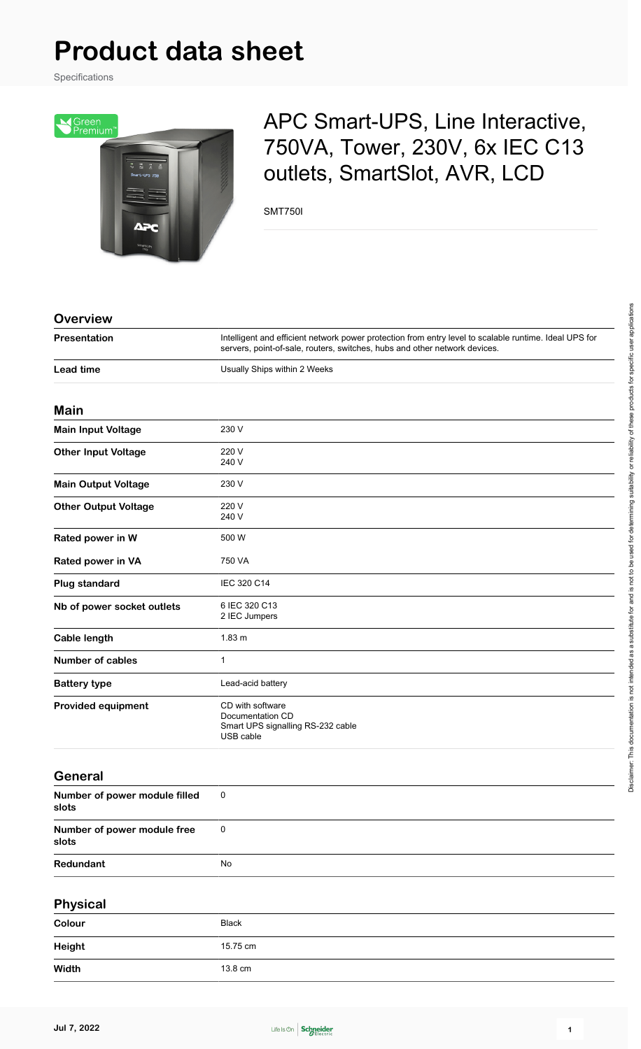# **Product data sheet**

Specifications



# APC Smart-UPS, Line Interactive, 750VA, Tower, 230V, 6x IEC C13 outlets, SmartSlot, AVR, LCD

SMT750I

#### **Overview**

| Presentation                           | Intelligent and efficient network power protection from entry level to scalable runtime. Ideal UPS for<br>servers, point-of-sale, routers, switches, hubs and other network devices. |  |  |
|----------------------------------------|--------------------------------------------------------------------------------------------------------------------------------------------------------------------------------------|--|--|
| <b>Lead time</b>                       | Usually Ships within 2 Weeks                                                                                                                                                         |  |  |
| <b>Main</b>                            |                                                                                                                                                                                      |  |  |
| <b>Main Input Voltage</b>              | 230 V                                                                                                                                                                                |  |  |
| <b>Other Input Voltage</b>             | 220 V<br>240 V                                                                                                                                                                       |  |  |
| <b>Main Output Voltage</b>             | 230 V                                                                                                                                                                                |  |  |
| <b>Other Output Voltage</b>            | 220 V<br>240 V                                                                                                                                                                       |  |  |
| Rated power in W                       | 500 W                                                                                                                                                                                |  |  |
| Rated power in VA                      | 750 VA                                                                                                                                                                               |  |  |
| <b>Plug standard</b>                   | IEC 320 C14                                                                                                                                                                          |  |  |
| Nb of power socket outlets             | 6 IEC 320 C13<br>2 IEC Jumpers                                                                                                                                                       |  |  |
| <b>Cable length</b>                    | 1.83 m                                                                                                                                                                               |  |  |
| <b>Number of cables</b>                | $\mathbf{1}$                                                                                                                                                                         |  |  |
| <b>Battery type</b>                    | Lead-acid battery                                                                                                                                                                    |  |  |
| <b>Provided equipment</b>              | CD with software<br>Documentation CD<br>Smart UPS signalling RS-232 cable<br>USB cable                                                                                               |  |  |
| <b>General</b>                         |                                                                                                                                                                                      |  |  |
| Number of power module filled<br>slots | 0                                                                                                                                                                                    |  |  |
| Number of power module free<br>slots   | $\pmb{0}$                                                                                                                                                                            |  |  |
| Redundant                              | No                                                                                                                                                                                   |  |  |
| <b>Physical</b>                        |                                                                                                                                                                                      |  |  |
| Colour                                 | <b>Black</b>                                                                                                                                                                         |  |  |
| <b>Height</b>                          | 15.75 cm                                                                                                                                                                             |  |  |
| <b>Width</b>                           | 13.8 cm                                                                                                                                                                              |  |  |

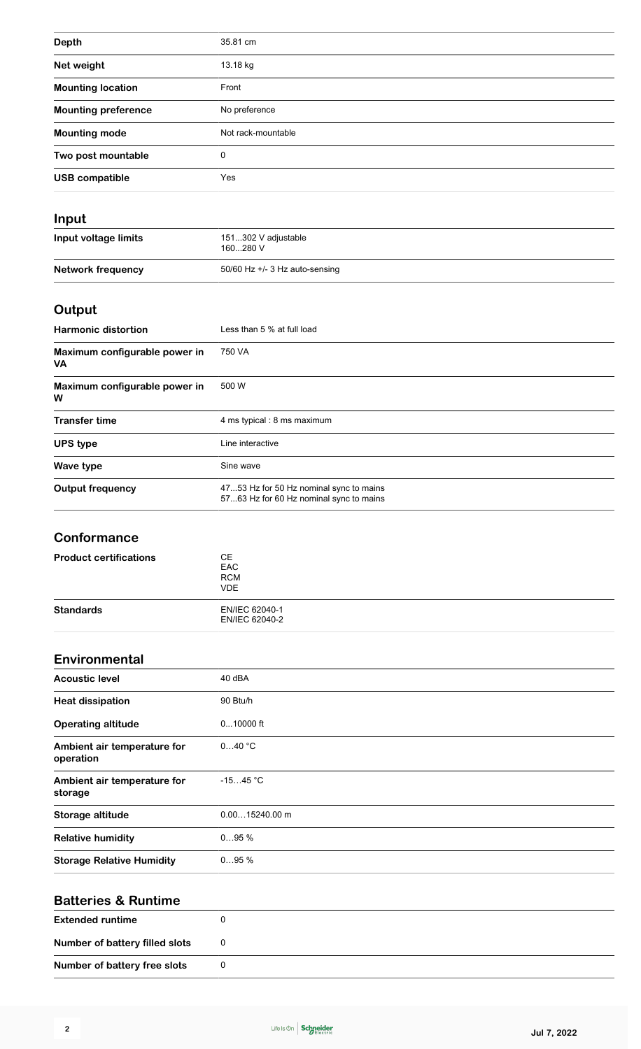| <b>Depth</b>               | 35.81 cm           |  |
|----------------------------|--------------------|--|
| Net weight                 | 13.18 kg           |  |
| <b>Mounting location</b>   | Front              |  |
| <b>Mounting preference</b> | No preference      |  |
| <b>Mounting mode</b>       | Not rack-mountable |  |
| Two post mountable         | 0                  |  |
| <b>USB compatible</b>      | Yes                |  |
|                            |                    |  |

| Input                    |                                  |  |
|--------------------------|----------------------------------|--|
| Input voltage limits     | 151302 V adjustable<br>160280 V  |  |
| <b>Network frequency</b> | 50/60 Hz $+/-$ 3 Hz auto-sensing |  |

# **Output**

| <b>Harmonic distortion</b>                 | Less than 5 % at full load                                                         |
|--------------------------------------------|------------------------------------------------------------------------------------|
| Maximum configurable power in<br><b>VA</b> | 750 VA                                                                             |
| Maximum configurable power in<br>W         | 500 W                                                                              |
| <b>Transfer time</b>                       | 4 ms typical: 8 ms maximum                                                         |
| <b>UPS type</b>                            | Line interactive                                                                   |
| Wave type                                  | Sine wave                                                                          |
| <b>Output frequency</b>                    | 4753 Hz for 50 Hz nominal sync to mains<br>5763 Hz for 60 Hz nominal sync to mains |

## **Conformance**

| <b>Product certifications</b> | CЕ<br>EAC<br><b>RCM</b><br><b>VDE</b> |  |
|-------------------------------|---------------------------------------|--|
| <b>Standards</b>              | EN/IEC 62040-1<br>EN/IEC 62040-2      |  |

#### **Environmental**

| <b>Acoustic level</b>                    | 40 dBA           |
|------------------------------------------|------------------|
| <b>Heat dissipation</b>                  | 90 Btu/h         |
| <b>Operating altitude</b>                | $010000$ ft      |
| Ambient air temperature for<br>operation | 040 °C           |
| Ambient air temperature for<br>storage   | $-1545 °C$       |
| Storage altitude                         | $0.0015240.00$ m |
| <b>Relative humidity</b>                 | 095%             |
| <b>Storage Relative Humidity</b>         | 095%             |

## **Batteries & Runtime**

| <b>Extended runtime</b>        |   |
|--------------------------------|---|
| Number of battery filled slots | 0 |
| Number of battery free slots   | 0 |